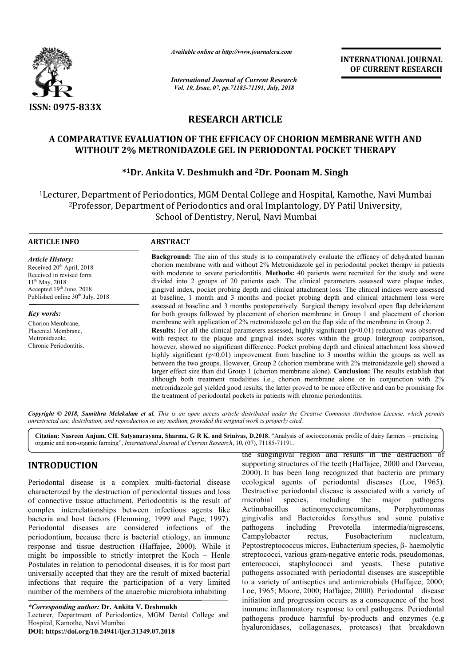

*Available online at http://www.journalcra.com*

*International Journal of Current Research Vol. 10, Issue, 07, pp.71185-71191, July, 2018*

**INTERNATIONAL JOURNAL OF CURRENT RESEARCH**

# **RESEARCH ARTICLE**

# **A COMPARATIVE EVALUATION OF THE EFFICACY OF CHORION MEMBRANE WITH AND WITHOUT 2% METRONIDAZOLE GEL IN PERIODONTAL POCKET THERAPY IPARATIVE EVALUATION OF THE EFFICACY OF CHORION NUITHOUT 2% METRONIDAZOLE GEL IN PERIODONTAL PO<br>\*1Dr. Ankita V. Deshmukh and <sup>2</sup>Dr. Poonam M.**

## **\*1Dr. Ankita V. Deshmukh and Dr. 2Dr. Poonam M. Singh**

<sup>1</sup>Lecturer, Department of Periodontics, MGM Dental College and Hospital, Kamothe, Navi Mumbai<br><sup>2</sup>Professor, Department of Periodontics and oral Implantology, DY Patil University, er, Department of Periodontics, MGM Dental College and Hospital, Kamothe, Navi M<br><sup>2</sup>Professor, Department of Periodontics and oral Implantology, DY Patil University, School of Dentistry, Nerul, Navi Mumbai

#### **ARTICLE INFO ABSTRACT**

*Article History:* Received 20<sup>th</sup> April, 2018 Received in revised form 11th May, 2018 Accepted  $19<sup>th</sup>$  June, 2018 Published online  $30<sup>th</sup>$  July, 2018

*Key words:* Chorion Membrane, Placental Membrane, Metronidazole, Chronic Periodontitis.

**Background:** The aim of this study is to comparatively evaluate the efficacy of dehydrated human chorion membrane with and without 2% Metronidazole gel in periodontal pocket therapy in patients with moderate to severe periodontitis. **Methods:** 40 patients were recruited divided into 2 groups of 20 patients each. The clinical parameters assessed were plaque index, gingival index, pocket probing depth and clinical attachment loss. The clinical indices were assessed at baseline, 1 month and 3 months and pocket probing depth and clinical attachment loss were assessed at baseline and 3 months postoperatively. Surgical therapy involved open flap debridement for both groups followed by placement of chorion membrane in Group 1 and placement of chorion membr membrane with application of 2% metronidazole gel on the flap side of the membrane in Group 2. **Results:** For all the clinical parameters assessed, highly significant (p<0.01) reduction was observed **Results:** For all the clinical parameters assessed, highly significant  $(p<0.01)$  reduction was observed with respect to the plaque and gingival index scores within the group. Intergroup comparison, however, showed no significant difference. Pocket probing depth and clinical attachment loss showed highly significant ( $p<0.01$ ) improvement from baseline to 3 months within the groups as well as however, showed no significant difference. Pocket probing depth and clinical attachment loss showed highly significant (p<0.01) improvement from baseline to 3 months within the groups as well as between the two groups. How larger effect size than did Group 1 (chorion membrane alone). Conclusion: The results establish that although both treatment modalities i.e., chorion membrane alone or in conjunction with 2% metronidazole gel yielded good results, the latter proved to be more effective and can be promising for the treatment of periodontal pockets in patients with chronic periodontitis. **Background:** The aim of this study is to comparatively evaluate the efficacy of dehydrated human chorion membrane with and without 2% Metronidazole gel in periodontal pocket therapy in patients with moderate to severe per divided into 2 groups of 20 patients each. The clinical parameters assessed were plaque index, gingival index, pocket probing depth and clinical attachment loss were assessed at baseline, 1 month and 3 months and pocket pr although both treatment modalities i.e., chorion membrane alone or in conjunction with metronidazole gel yielded good results, the latter proved to be more effective and can be promising the treatment of periodontal pocket

Copyright © 2018, Sumithra Melekalam et al. This is an open access article distributed under the Creative Commons Attribution License, which permits *unrestricted use, distribution, and reproduction in any medium, provided the original work is properly cited.*

Citation: Nasreen Anjum, CH. Satyanarayana, Sharma, G R K. and Srinivas, D.2018. "Analysis of socioeconomic profile of dairy farmers – practicing organic and non-organic farming", *International Journal of Current Research* , 10, (07), 71185-71191.

# **INTRODUCTION**

Periodontal disease is a complex multi-factorial disease characterized by the destruction of periodontal tissues and loss of connective tissue attachment. Periodontitis is the result of complex interrelationships between infectious agents like bacteria and host factors (Flemming, 1999 and Page, 1997). Periodontal diseases are considered infections of the periodontium, because there is bacterial etiology, an immune response and tissue destruction (Haffajee, 2000). While it might be impossible to strictly interpret the Koch – Henle Postulates in relation to periodontal diseases, it is for most part universally accepted that they are the result of mixed bacterial infections that require the participation of a very limited number of the members of the anaerobic microbiota inhabiting

*\*Corresponding author:* **Dr. Ankita V. Deshmukh** Lecturer, Department of Periodontics, MGM Dental College and Hospital, Kamothe, Navi Mumbai

**DOI: https://doi.org/10.24941/ijcr.31349.07.2018**

the subgingival region and results in the destruction of the subgingival region and results in the destruction of supporting structures of the teeth (Haffajee, 2000 and Darveau, 2000). It has been long recognized that bacteria are primary ecological agents of periodontal diseases (Loe, 1965). Destructive periodontal disease is associated with a variety of microbial species, including the major pathogens microbial species, including the major pathogens Actinobacillus actinomycetemcomitans, Porphyromonas gingivalis and Bacteroides forsythus and some putative pathogens including Prevotella intermedia/nigrescens, Campylobacter rectus, Fusobacterium nucleatum, gingivalis and Bacteroides forsythus and some putative pathogens including Prevotella intermedia/nigrescens, Campylobacter rectus, Fusobacterium nucleatum, Peptostreptococcus micros, Eubacterium species, β- haemolytic streptococci, various gram-negative enteric rods, pseudomonas, enterococci, staphylococci and yeasts. These putative pathogens associated with periodontal diseases are susceptible to a variety of antiseptics and antimicrobials (Haffajee, 2000; Loe, 1965; Moore, 2000; Haffajee, 2000 Loe, 2000). Periodontal disease initiation and progression occurs as a consequence of the host immune inflammatory response to oral pathogens. Periodontal initiation and progression occurs as a consequence of the host<br>immune inflammatory response to oral pathogens. Periodontal<br>pathogens produce harmful by-products and enzymes (e.g hyaluronidases, collagenases, proteases) that breakdown rious gram-negative enteric rods, pseudomonas,<br>taphylococci and yeasts. These putative<br>ciated with periodontal diseases are susceptible<br>antiseptics and antimicrobials (Haffajee, 2000; **INTERNATIONAL JOURNAL**<br> **Controls and the Control Control (Control Control Control (Control Control Control (Governor Control (Governor Control Control (Governor Control Control Control Control Control Control Control Con**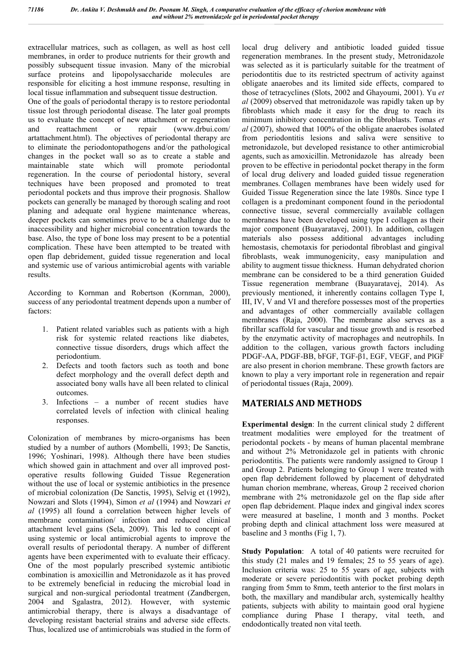extracellular matrices, such as collagen, as well as host cell membranes, in order to produce nutrients for their growth and possibly subsequent tissue invasion. Many of the microbial surface proteins and lipopolysaccharide molecules are responsible for eliciting a host immune response, resulting in local tissue inflammation and subsequent tissue destruction.

One of the goals of periodontal therapy is to restore periodontal tissue lost through periodontal disease. The later goal prompts us to evaluate the concept of new attachment or regeneration and reattachment or repair (www.drbui.com/ artattachment.html). The objectives of periodontal therapy are to eliminate the periodontopathogens and/or the pathological changes in the pocket wall so as to create a stable and maintainable state which will promote periodontal regeneration. In the course of periodontal history, several techniques have been proposed and promoted to treat periodontal pockets and thus improve their prognosis. Shallow pockets can generally be managed by thorough scaling and root planing and adequate oral hygiene maintenance whereas, deeper pockets can sometimes prove to be a challenge due to inaccessibility and higher microbial concentration towards the base. Also, the type of bone loss may present to be a potential complication. These have been attempted to be treated with open flap debridement, guided tissue regeneration and local and systemic use of various antimicrobial agents with variable results.

According to Kornman and Robertson (Kornman, 2000), success of any periodontal treatment depends upon a number of factors:

- 1. Patient related variables such as patients with a high risk for systemic related reactions like diabetes, connective tissue disorders, drugs which affect the periodontium.
- 2. Defects and tooth factors such as tooth and bone defect morphology and the overall defect depth and associated bony walls have all been related to clinical outcomes.
- Infections a number of recent studies have correlated levels of infection with clinical healing responses.

Colonization of membranes by micro-organisms has been studied by a number of authors (Mombelli, 1993; De Sanctis, 1996; Yoshinari, 1998). Although there have been studies which showed gain in attachment and over all improved postoperative results following Guided Tissue Regeneration without the use of local or systemic antibiotics in the presence of microbial colonization (De Sanctis, 1995), Selvig et (1992), Nowzari and Slots (1994), Simon *et al* (1994) and Nowzari *et al* (1995) all found a correlation between higher levels of membrane contamination/ infection and reduced clinical attachment level gains (Sela, 2009). This led to concept of using systemic or local antimicrobial agents to improve the overall results of periodontal therapy. A number of different agents have been experimented with to evaluate their efficacy. One of the most popularly prescribed systemic antibiotic combination is amoxicillin and Metronidazole as it has proved to be extremely beneficial in reducing the microbial load in surgical and non-surgical periodontal treatment (Zandbergen, 2004 and Sgalastra, 2012). However, with systemic antimicrobial therapy, there is always a disadvantage of developing resistant bacterial strains and adverse side effects. Thus, localized use of antimicrobials was studied in the form of local drug delivery and antibiotic loaded guided tissue regeneration membranes. In the present study, Metronidazole was selected as it is particularly suitable for the treatment of periodontitis due to its restricted spectrum of activity against obligate anaerobes and its limited side effects, compared to those of tetracyclines (Slots, 2002 and Ghayoumi, 2001). Yu *et al* (2009) observed that metronidazole was rapidly taken up by fibroblasts which made it easy for the drug to reach its minimum inhibitory concentration in the fibroblasts. Tomas *et al* (2007), showed that 100% of the obligate anaerobes isolated from periodontitis lesions and saliva were sensitive to metronidazole, but developed resistance to other antimicrobial agents, such as amoxicillin. Metronidazole has already been proven to be effective in periodontal pocket therapy in the form of local drug delivery and loaded guided tissue regeneration membranes. Collagen membranes have been widely used for Guided Tissue Regeneration since the late 1980s. Since type I collagen is a predominant component found in the periodontal connective tissue, several commercially available collagen membranes have been developed using type I collagen as their major component (Buayaratavej, 2001). In addition, collagen materials also possess additional advantages including hemostasis, chemotaxis for periodontal fibroblast and gingival fibroblasts, weak immunogenicity, easy manipulation and ability to augment tissue thickness. Human dehydrated chorion membrane can be considered to be a third generation Guided Tissue regeneration membrane (Buayaratavej, 2014). As previously mentioned, it inherently contains collagen Type I, III, IV, V and VI and therefore possesses most of the properties and advantages of other commercially available collagen membranes (Raja, 2000). The membrane also serves as a fibrillar scaffold for vascular and tissue growth and is resorbed by the enzymatic activity of macrophages and neutrophils. In addition to the collagen, various growth factors including PDGF-AA, PDGF-BB, bFGF, TGF-β1, EGF, VEGF, and PlGF are also present in chorion membrane. These growth factors are known to play a very important role in regeneration and repair of periodontal tissues (Raja, 2009).

#### **MATERIALS AND METHODS**

**Experimental design**: In the current clinical study 2 different treatment modalities were employed for the treatment of periodontal pockets - by means of human placental membrane and without 2% Metronidazole gel in patients with chronic periodontitis. The patients were randomly assigned to Group 1 and Group 2. Patients belonging to Group 1 were treated with open flap debridement followed by placement of dehydrated human chorion membrane, whereas, Group 2 received chorion membrane with 2% metronidazole gel on the flap side after open flap debridement. Plaque index and gingival index scores were measured at baseline, 1 month and 3 months. Pocket probing depth and clinical attachment loss were measured at baseline and 3 months (Fig 1, 7).

**Study Population**: A total of 40 patients were recruited for this study (21 males and 19 females; 25 to 55 years of age). Inclusion criteria was: 25 to 55 years of age, subjects with moderate or severe periodontitis with pocket probing depth ranging from 5mm to 8mm, teeth anterior to the first molars in both, the maxillary and mandibular arch, systemically healthy patients, subjects with ability to maintain good oral hygiene compliance during Phase I therapy, vital teeth, and endodontically treated non vital teeth.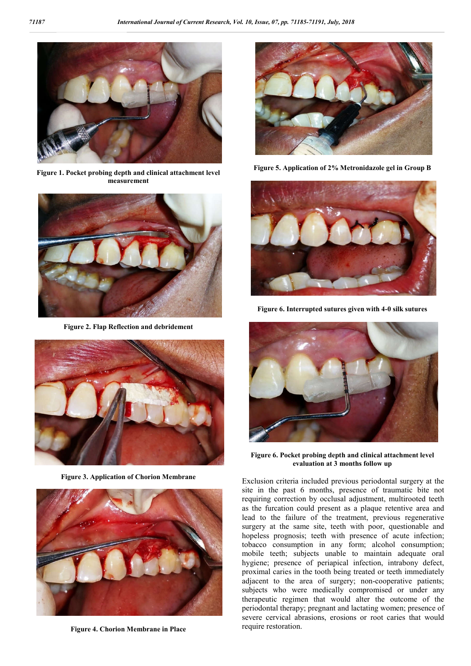

**Figure 1. Pocket probing depth and clinical attachment level measurement**



**Figure 2. Flap Reflection and debridement**



**Figure 3. Application of Chorion Membrane**



**Figure 4. Chorion Membrane in Place**



**Figure 5. Application of 2% Metronidazole gel in Group B**



**Figure 6. Interrupted sutures given with 4-0 silk sutures**



**Figure 6. Pocket probing depth and clinical attachment level evaluation at 3 months follow up**

Exclusion criteria included previous periodontal surgery at the site in the past 6 months, presence of traumatic bite not requiring correction by occlusal adjustment, multirooted teeth as the furcation could present as a plaque retentive area and lead to the failure of the treatment, previous regenerative surgery at the same site, teeth with poor, questionable and hopeless prognosis; teeth with presence of acute infection; tobacco consumption in any form; alcohol consumption; mobile teeth; subjects unable to maintain adequate oral hygiene; presence of periapical infection, intrabony defect, proximal caries in the tooth being treated or teeth immediately adjacent to the area of surgery; non-cooperative patients; subjects who were medically compromised or under any therapeutic regimen that would alter the outcome of the periodontal therapy; pregnant and lactating women; presence of severe cervical abrasions, erosions or root caries that would require restoration.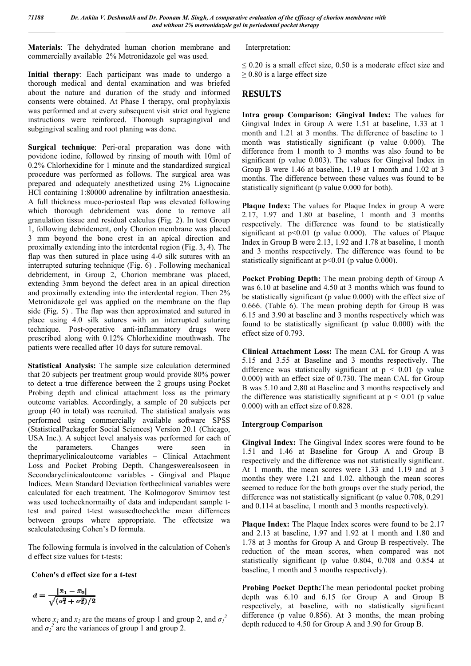**Materials**: The dehydrated human chorion membrane and commercially available 2% Metronidazole gel was used.

**Initial therapy**: Each participant was made to undergo a thorough medical and dental examination and was briefed about the nature and duration of the study and informed consents were obtained. At Phase I therapy, oral prophylaxis was performed and at every subsequent visit strict oral hygiene instructions were reinforced. Thorough supragingival and subgingival scaling and root planing was done.

**Surgical technique**: Peri-oral preparation was done with povidone iodine, followed by rinsing of mouth with 10ml of 0.2% Chlorhexidine for 1 minute and the standardized surgical procedure was performed as follows. The surgical area was prepared and adequately anesthetized using 2% Lignocaine HCl containing 1:80000 adrenaline by infiltration anaesthesia. A full thickness muco-periosteal flap was elevated following which thorough debridement was done to remove all granulation tissue and residual calculus (Fig. 2). In test Group 1, following debridement, only Chorion membrane was placed 3 mm beyond the bone crest in an apical direction and proximally extending into the interdental region (Fig. 3, 4). The flap was then sutured in place using 4-0 silk sutures with an interrupted suturing technique (Fig. 6) . Following mechanical debridement, in Group 2, Chorion membrane was placed, extending 3mm beyond the defect area in an apical direction and proximally extending into the interdental region. Then 2% Metronidazole gel was applied on the membrane on the flap side (Fig. 5) . The flap was then approximated and sutured in place using 4.0 silk sutures with an interrupted suturing technique. Post-operative anti-inflammatory drugs were prescribed along with 0.12% Chlorhexidine mouthwash. The patients were recalled after 10 days for suture removal.

**Statistical Analysis:** The sample size calculation determined that 20 subjects per treatment group would provide 80% power to detect a true difference between the 2 groups using Pocket Probing depth and clinical attachment loss as the primary outcome variables. Accordingly, a sample of 20 subjects per group (40 in total) was recruited. The statistical analysis was performed using commercially available software SPSS (StatisticalPackagefor Social Sciences) Version 20.1 (Chicago, USA Inc.). A subject level analysis was performed for each of the parameters. Changes were seen in theprimaryclinicaloutcome variables – Clinical Attachment Loss and Pocket Probing Depth. Changeswerealsoseen in Secondaryclinicaloutcome variables - Gingival and Plaque Indices. Mean Standard Deviation fortheclinical variables were calculated for each treatment. The Kolmogorov Smirnov test was used tochecknormailty of data and independant sample ttest and paired t-test wasusedtocheckthe mean differnces between groups where appropriate. The effectsize wa scalculatedusing Cohen's D formula.

The following formula is involved in the calculation of Cohen's d effect size values for t-tests:

#### **Cohen's d effect size for a t-test**

$$
d = \frac{|x_1 - x_2|}{\sqrt{(\sigma_1^2 + \sigma_2^2)/2}}
$$

where  $x_1$  and  $x_2$  are the means of group 1 and group 2, and  $\sigma_1^2$ and  $\sigma_2^2$  are the variances of group 1 and group 2.

Interpretation:

 $\leq$  0.20 is a small effect size, 0.50 is a moderate effect size and  $\geq$  0.80 is a large effect size

### **RESULTS**

**Intra group Comparison: Gingival Index:** The values for Gingival Index in Group A were 1.51 at baseline, 1.33 at 1 month and 1.21 at 3 months. The difference of baseline to 1 month was statistically significant (p value 0.000). The difference from 1 month to 3 months was also found to be significant (p value 0.003). The values for Gingival Index in Group B were 1.46 at baseline, 1.19 at 1 month and 1.02 at 3 months. The difference between these values was found to be statistically significant (p value 0.000 for both).

**Plaque Index:** The values for Plaque Index in group A were 2.17, 1.97 and 1.80 at baseline, 1 month and 3 months respectively. The difference was found to be statistically significant at  $p<0.01$  (p value 0.000). The values of Plaque Index in Group B were 2.13, 1.92 and 1.78 at baseline, 1 month and 3 months respectively. The difference was found to be statistically significant at  $p<0.01$  (p value 0.000).

**Pocket Probing Depth:** The mean probing depth of Group A was 6.10 at baseline and 4.50 at 3 months which was found to be statistically significant (p value 0.000) with the effect size of 0.666. (Table 6). The mean probing depth for Group B was 6.15 and 3.90 at baseline and 3 months respectively which was found to be statistically significant (p value 0.000) with the effect size of 0.793.

**Clinical Attachment Loss:** The mean CAL for Group A was 5.15 and 3.55 at Baseline and 3 months respectively. The difference was statistically significant at  $p < 0.01$  (p value) 0.000) with an effect size of 0.730. The mean CAL for Group B was 5.10 and 2.80 at Baseline and 3 months respectively and the difference was statistically significant at  $p \le 0.01$  (p value 0.000) with an effect size of 0.828.

#### **Intergroup Comparison**

**Gingival Index:** The Gingival Index scores were found to be 1.51 and 1.46 at Baseline for Group A and Group B respectively and the difference was not statistically significant. At 1 month, the mean scores were 1.33 and 1.19 and at 3 months they were 1.21 and 1.02. although the mean scores seemed to reduce for the both groups over the study period, the difference was not statistically significant (p value 0.708, 0.291) and 0.114 at baseline, 1 month and 3 months respectively).

**Plaque Index:** The Plaque Index scores were found to be 2.17 and 2.13 at baseline, 1.97 and 1.92 at 1 month and 1.80 and 1.78 at 3 months for Group A and Group B respectively. The reduction of the mean scores, when compared was not statistically significant (p value 0.804, 0.708 and 0.854 at baseline, 1 month and 3 months respectively).

**Probing Pocket Depth:**The mean periodontal pocket probing depth was 6.10 and 6.15 for Group A and Group B respectively, at baseline, with no statistically significant difference (p value 0.856). At 3 months, the mean probing depth reduced to 4.50 for Group A and 3.90 for Group B.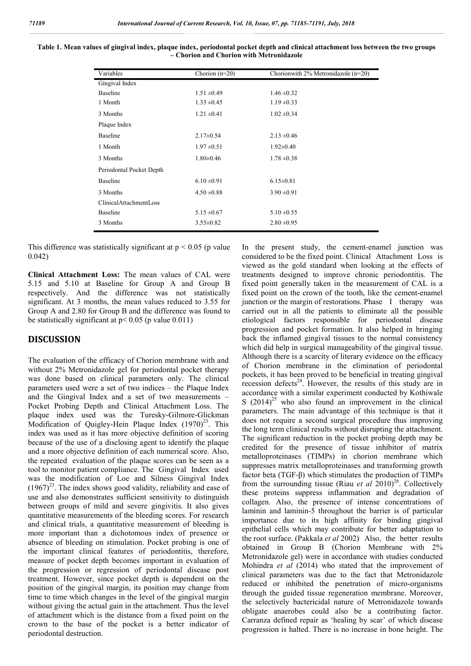| Variables                | Chorion $(n=20)$ | Chorionwith $2\%$ Metronidazole (n=20) |
|--------------------------|------------------|----------------------------------------|
| Gingival Index           |                  |                                        |
| Baseline                 | $1.51 \pm 0.49$  | $1.46 \pm 0.32$                        |
| 1 Month                  | $1.33 \pm 0.45$  | $1.19 \pm 0.33$                        |
| 3 Months                 | $1.21 \pm 0.41$  | $1.02 \pm 0.34$                        |
| Plaque Index             |                  |                                        |
| Baseline                 | $2.17\pm0.54$    | $2.13 \pm 0.46$                        |
| 1 Month                  | $1.97 \pm 0.51$  | $1.92 \pm 0.40$                        |
| 3 Months                 | $1.80 \pm 0.46$  | $1.78 \pm 0.38$                        |
| Periodontal Pocket Depth |                  |                                        |
| Baseline                 | $6.10 \pm 0.91$  | $6.15 \pm 0.81$                        |
| 3 Months                 | $4.50 \pm 0.88$  | $3.90 \pm 0.91$                        |
| ClinicalAttachmentLoss   |                  |                                        |
| Baseline                 | $5.15 \pm 0.67$  | $5.10 \pm 0.55$                        |
| 3 Months                 | $3.55 \pm 0.82$  | $2.80 \pm 0.95$                        |
|                          |                  |                                        |

#### **Table 1. Mean values of gingival index, plaque index, periodontal pocket depth and clinical attachment loss between the two groups – Chorion and Chorion with Metronidazole**

This difference was statistically significant at  $p \le 0.05$  (p value 0.042)

**Clinical Attachment Loss:** The mean values of CAL were 5.15 and 5.10 at Baseline for Group A and Group B respectively. And the difference was not statistically significant. At 3 months, the mean values reduced to 3.55 for Group A and 2.80 for Group B and the difference was found to be statistically significant at  $p < 0.05$  (p value 0.011)

#### **DISCUSSION**

The evaluation of the efficacy of Chorion membrane with and without 2% Metronidazole gel for periodontal pocket therapy was done based on clinical parameters only. The clinical parameters used were a set of two indices – the Plaque Index and the Gingival Index and a set of two measurements – Pocket Probing Depth and Clinical Attachment Loss. The plaque index used was the Turesky-Gilmore-Glickman Modification of Quigley-Hein Plaque Index  $(1970)^{23}$ . This index was used as it has more objective definition of scoring because of the use of a disclosing agent to identify the plaque and a more objective definition of each numerical score. Also, the repeated evaluation of the plaque scores can be seen as a tool to monitor patient compliance. The Gingival Index used was the modification of Loe and Silness Gingival Index  $(1967)^{23}$ . The index shows good validity, reliability and ease of use and also demonstrates sufficient sensitivity to distinguish between groups of mild and severe gingivitis. It also gives quantitative measurements of the bleeding scores. For research and clinical trials, a quantitative measurement of bleeding is more important than a dichotomous index of presence or absence of bleeding on stimulation. Pocket probing is one of the important clinical features of periodontitis, therefore, measure of pocket depth becomes important in evaluation of the progression or regression of periodontal disease post treatment. However, since pocket depth is dependent on the position of the gingival margin, its position may change from time to time which changes in the level of the gingival margin without giving the actual gain in the attachment. Thus the level of attachment which is the distance from a fixed point on the crown to the base of the pocket is a better indicator of periodontal destruction.

In the present study, the cement-enamel junction was considered to be the fixed point. Clinical Attachment Loss is viewed as the gold standard when looking at the effects of treatments designed to improve chronic periodontitis. The fixed point generally taken in the measurement of CAL is a fixed point on the crown of the tooth, like the cement-enamel junction or the margin of restorations. Phase I therapy was carried out in all the patients to eliminate all the possible etiological factors responsible for periodontal disease progression and pocket formation. It also helped in bringing back the inflamed gingival tissues to the normal consistency which did help in surgical manageability of the gingival tissue. Although there is a scarcity of literary evidence on the efficacy of Chorion membrane in the elimination of periodontal pockets, it has been proved to be beneficial in treating gingival recession defects<sup>24</sup>. However, the results of this study are in accordance with a similar experiment conducted by Kothiwale S  $(2014)^{25}$  who also found an improvement in the clinical parameters. The main advantage of this technique is that it does not require a second surgical procedure thus improving the long term clinical results without disrupting the attachment. The significant reduction in the pocket probing depth may be credited for the presence of tissue inhibitor of matrix metalloproteinases (TIMPs) in chorion membrane which suppresses matrix metalloproteinases and transforming growth factor beta (TGF-β) which stimulates the production of TIMPs from the surrounding tissue (Riau *et al* 2010)<sup>26</sup>. Collectively these proteins suppress inflammation and degradation of collagen. Also, the presence of intense concentrations of laminin and laminin-5 throughout the barrier is of particular importance due to its high affinity for binding gingival epithelial cells which may contribute for better adaptation to the root surface. (Pakkala *et al* 2002). Also, the better results obtained in Group B (Chorion Membrane with 2% Metronidazole gel) were in accordance with studies conducted Mohindra *et al* (2014) who stated that the improvement of clinical parameters was due to the fact that Metronidazole reduced or inhibited the penetration of micro-organisms through the guided tissue regeneration membrane. Moreover, the selectively bactericidal nature of Metronidazole towards obligate anaerobes could also be a contributing factor. Carranza defined repair as 'healing by scar' of which disease progression is halted. There is no increase in bone height. The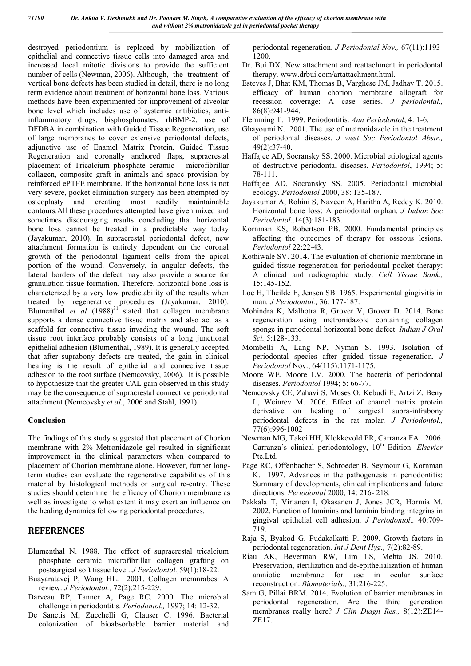destroyed periodontium is replaced by mobilization of epithelial and connective tissue cells into damaged area and increased local mitotic divisions to provide the sufficient number of cells (Newman, 2006). Although, the treatment of vertical bone defects has been studied in detail, there is no long term evidence about treatment of horizontal bone loss. Various methods have been experimented for improvement of alveolar bone level which includes use of systemic antibiotics, antiinflammatory drugs, bisphosphonates, rhBMP-2, use of DFDBA in combination with Guided Tissue Regeneration, use of large membranes to cover extensive periodontal defects, adjunctive use of Enamel Matrix Protein, Guided Tissue Regeneration and coronally anchored flaps, supracrestal placement of Tricalcium phosphate ceramic – microfibrillar collagen, composite graft in animals and space provision by reinforced ePTFE membrane. If the horizontal bone loss is not very severe, pocket elimination surgery has been attempted by osteoplasty and creating most readily maintainable contours.All these procedures attempted have given mixed and sometimes discouraging results concluding that horizontal bone loss cannot be treated in a predictable way today (Jayakumar, 2010). In supracrestal periodontal defect, new attachment formation is entirely dependent on the coronal growth of the periodontal ligament cells from the apical portion of the wound. Conversely, in angular defects, the lateral borders of the defect may also provide a source for granulation tissue formation. Therefore, horizontal bone loss is characterized by a very low predictability of the results when treated by regenerative procedures (Jayakumar, 2010). Blumenthal *et al*  $(1988)^{31}$  stated that collagen membrane supports a dense connective tissue matrix and also act as a scaffold for connective tissue invading the wound. The soft tissue root interface probably consists of a long junctional epithelial adhesion (Blumenthal, 1989). It is generally accepted that after suprabony defects are treated, the gain in clinical healing is the result of epithelial and connective tissue adhesion to the root surface (Nemcovsky, 2006). It is possible to hypothesize that the greater CAL gain observed in this study may be the consequence of supracrestal connective periodontal attachment (Nemcovsky *et al*., 2006 and Stahl, 1991).

#### **Conclusion**

The findings of this study suggested that placement of Chorion membrane with 2% Metronidazole gel resulted in significant improvement in the clinical parameters when compared to placement of Chorion membrane alone. However, further longterm studies can evaluate the regenerative capabilities of this material by histological methods or surgical re-entry. These studies should determine the efficacy of Chorion membrane as well as investigate to what extent it may exert an influence on the healing dynamics following periodontal procedures.

#### **REFERENCES**

- Blumenthal N. 1988. The effect of supracrestal tricalcium phosphate ceramic microfibrillar collagen grafting on postsurgical soft tissue level. *J Periodontol.,*59(1):18-22.
- Buayaratavej P, Wang HL. 2001. Collagen memnrabes: A review. *J Periodontol.,* 72(2):215-229.
- Darveau RP, Tanner A, Page RC. 2000. The microbial challenge in periodontitis. *Periodontol.,* 1997; 14: 12-32.
- De Sanctis M, Zucchelli G, Clauser C. 1996. Bacterial colonization of bioabsorbable barrier material and

periodontal regeneration. *J Periodontal Nov.,* 67(11):1193- 1200.

- Dr. Bui DX. New attachment and reattachment in periodontal therapy. www.drbui.com/artattachment.html.
- Esteves J, Bhat KM, Thomas B, Varghese JM, Jadhav T. 2015. efficacy of human chorion membrane allograft for recession coverage: A case series. *J periodontal.,* 86(8):941-944.

Flemming T. 1999. Periodontitis. *Ann Periodontol*; 4: 1-6.

- Ghayoumi N. 2001. The use of metronidazole in the treatment of periodontal diseases. *J west Soc Periodontol Abstr.,* 49(2):37-40.
- Haffajee AD, Socransky SS. 2000. Microbial etiological agents of destructive periodontal diseases. *Periodontol*, 1994; 5: 78-111.
- Haffajee AD, Socransky SS. 2005. Periodontal microbial ecology. *Periodontol* 2000, 38: 135-187.
- Jayakumar A, Rohini S, Naveen A, Haritha A, Reddy K. 2010. Horizontal bone loss: A periodontal orphan. *J Indian Soc Periodontol.,*14(3):181-183.
- Kornman KS, Robertson PB. 2000. Fundamental principles affecting the outcomes of therapy for osseous lesions. *Periodontol* 22:22-43.
- Kothiwale SV. 2014. The evaluation of chorionic membrane in guided tissue regeneration for periodontal pocket therapy: A clinical and radiographic study. *Cell Tissue Bank.,*  15:145-152.
- Loe H, Theilde E, Jensen SB. 1965. Experimental gingivitis in man*. J Periodontol.,* 36: 177-187.
- Mohindra K, Malhotra R, Grover V, Grover D. 2014. Bone regeneration using metronidazole containing collagen sponge in periodontal horizontal bone defect. *Indian J Oral Sci.,*5:128-133.
- Mombelli A, Lang NP, Nyman S. 1993. Isolation of periodontal species after guided tissue regeneration*. J Periodontol* Nov., 64(115):1171-1175.
- Moore WE, Moore LV. 2000. The bacteria of periodontal diseases. *Periodontol* 1994; 5: 66-77.
- Nemcovsky CE, Zahavi S, Moses O, Kebudi E, Artzi Z, Beny L, Weinrev M. 2006. Effect of enamel matrix protein derivative on healing of surgical supra-infrabony periodontal defects in the rat molar*. J Periodontol.,*  77(6):996-1002
- Newman MG, Takei HH, Klokkevold PR, Carranza FA. 2006. Carranza's clinical periodontology, 10<sup>th</sup> Edition. *Elsevier* Pte.Ltd.
- Page RC, Offenbacher S, Schroeder B, Seymour G, Kornman K. 1997. Advances in the pathogenesis in periodontitis: Summary of developments, clinical implications and future directions. *Periodontal* 2000, 14: 216- 218.
- Pakkala T, Virtanen I, Okasanen J, Jones JCR, Hormia M. 2002. Function of laminins and laminin binding integrins in gingival epithelial cell adhesion. *J Periodontol.,* 40:709- 719.
- Raja S, Byakod G, Pudakalkatti P. 2009. Growth factors in periodontal regeneration. *Int J Dent Hyg.,* 7(2):82-89.
- Riau AK, Beverman RW, Lim LS, Mehta JS. 2010. Preservation, sterilization and de-epithelialization of human amniotic membrane for use in ocular surface reconstruction. *Biomaterials.,* 31:216-225.
- Sam G, Pillai BRM. 2014. Evolution of barrier membranes in periodontal regeneration. Are the third generation membranes really here? *J Clin Diagn Res.,* 8(12):ZE14- ZE17.